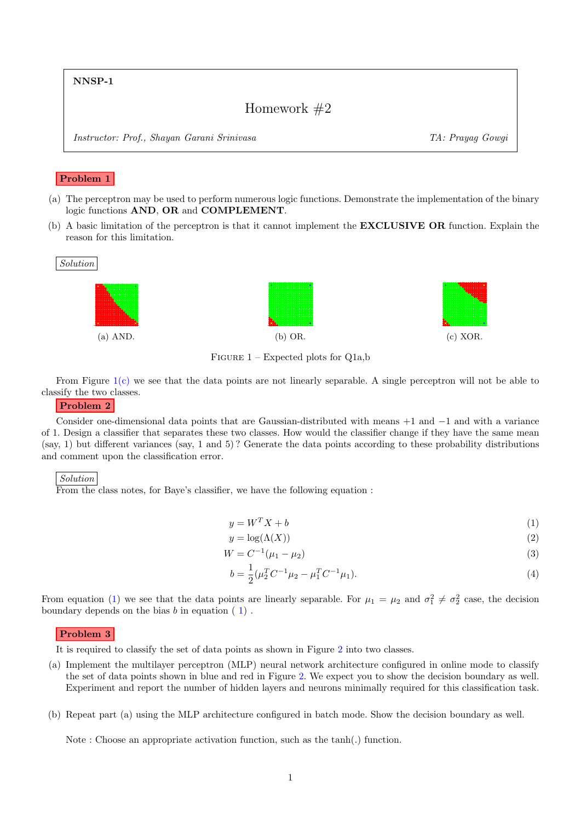NNSP-1

# Homework #2

Instructor: Prof., Shayan Garani Srinivasa TA: Prayag Gowgi

# Problem 1

- (a) The perceptron may be used to perform numerous logic functions. Demonstrate the implementation of the binary logic functions AND, OR and COMPLEMENT.
- (b) A basic limitation of the perceptron is that it cannot implement the EXCLUSIVE OR function. Explain the reason for this limitation.

<span id="page-0-0"></span>

FIGURE  $1$  – Expected plots for Q1a,b

From Figure  $1(c)$  we see that the data points are not linearly separable. A single perceptron will not be able to classify the two classes.

# Problem 2

Consider one-dimensional data points that are Gaussian-distributed with means  $+1$  and  $-1$  and with a variance of 1. Design a classifier that separates these two classes. How would the classifier change if they have the same mean (say, 1) but different variances (say, 1 and 5) ? Generate the data points according to these probability distributions and comment upon the classification error.

#### Solution

From the class notes, for Baye's classifier, we have the following equation :

<span id="page-0-1"></span>
$$
y = W^T X + b \tag{1}
$$

$$
y = \log(\Lambda(X))
$$
\n<sup>(2)</sup>

$$
W = C^{-1}(\mu_1 - \mu_2) \tag{3}
$$

$$
b = \frac{1}{2}(\mu_2^T C^{-1} \mu_2 - \mu_1^T C^{-1} \mu_1).
$$
\n(4)

From equation [\(1\)](#page-0-1) we see that the data points are linearly separable. For  $\mu_1 = \mu_2$  and  $\sigma_1^2 \neq \sigma_2^2$  case, the decision boundary depends on the bias  $b$  in equation  $(1)$  $(1)$ .

### Problem 3

It is required to classify the set of data points as shown in Figure [2](#page-1-0) into two classes.

- (a) Implement the multilayer perceptron (MLP) neural network architecture configured in online mode to classify the set of data points shown in blue and red in Figure [2.](#page-1-0) We expect you to show the decision boundary as well. Experiment and report the number of hidden layers and neurons minimally required for this classification task.
- (b) Repeat part (a) using the MLP architecture configured in batch mode. Show the decision boundary as well.

Note : Choose an appropriate activation function, such as the tanh(.) function.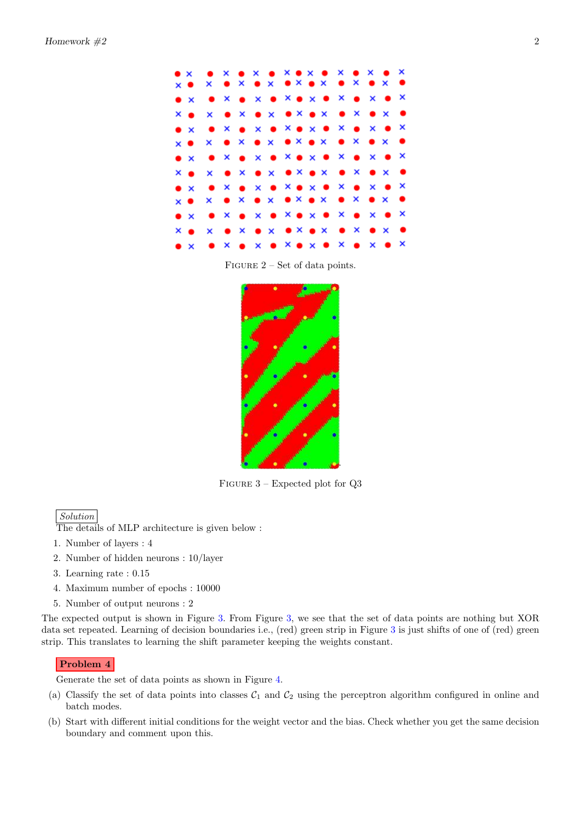<span id="page-1-0"></span>

Figure 2 – Set of data points.

<span id="page-1-1"></span>

Figure 3 – Expected plot for Q3

# Solution

The details of MLP architecture is given below :

- 1. Number of layers : 4
- 2. Number of hidden neurons : 10/layer
- 3. Learning rate : 0.15
- 4. Maximum number of epochs : 10000
- 5. Number of output neurons : 2

The expected output is shown in Figure [3.](#page-1-1) From Figure [3,](#page-1-1) we see that the set of data points are nothing but XOR data set repeated. Learning of decision boundaries i.e., (red) green strip in Figure [3](#page-1-1) is just shifts of one of (red) green strip. This translates to learning the shift parameter keeping the weights constant.

## Problem 4

Generate the set of data points as shown in Figure [4.](#page-2-0)

- (a) Classify the set of data points into classes  $C_1$  and  $C_2$  using the perceptron algorithm configured in online and batch modes.
- (b) Start with different initial conditions for the weight vector and the bias. Check whether you get the same decision boundary and comment upon this.